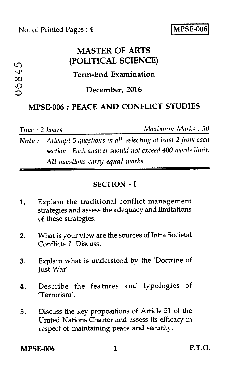# **MASTER OF ARTS (POLITICAL SCIENCE)**

### **Term-End Examination**

O **December, 2016** 

## **MPSE-006 : PEACE AND CONFLICT STUDIES**

 $0684<sup>t</sup>$ 

 $\mathfrak{L}$ 

*Time : 2 hours Maximum Marks : 50* 

*Note : Attempt 5 questions in all, selecting at least* 2 *from each section. Each answer should not exceed 400 words limit. All questions. Carry equal marks.* 

#### SECTION - I

- 1. Explain the traditional conflict management strategies and assess the adequacy and limitations of these strategies.
- 2. What is your view are the sources of Intra Societal Conflicts ? Discuss.
- 3. Explain what is understood by the 'Doctrine of Just War'.
- 4. Describe the features and typologies of 'Terrorism'.
- 5. Discuss the key propositions of Article 51 of the United Nations Charter and assess its efficacy in respect of maintaining peace and security.

### MPSE-006 1 P.T.O.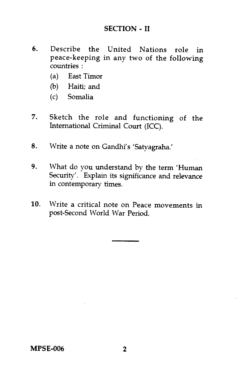### **SECTION - II**

- **6.** Describe the United Nations role in peace-keeping in any two of the following countries :
	- (a) East Timor
	- (b) Haiti; and
	- (c) Somalia
- 7. Sketch the role and functioning of the International Criminal Court (ICC).
- **8.** Write a note on Gandhi's 'Satyagraha.'
- **9.** What do you understand by the term 'Human Security'. Explain its significance and relevance in contemporary times.
- 10. Write a critical note on Peace movements in post-Second World War Period.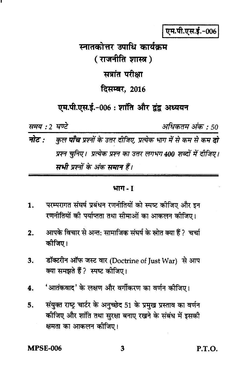एम.पी.एस.ई.-006

स्नातकोत्तर उपाधि कार्यकम ( राजनीति शास्त्र ) सत्रांत परीक्षा दिसम्बर, 2016

एम.पी.एस.ई.-006: शांति और द्वंद्व अध्ययन

समय : 2 घण्टे अधिकतम अंक : 50 नोट : कुल **पाँच** प्रश्नों के उत्तर दीजिए, प्रत्येक भाग में से कम से कम **दो** प्रश्न चुनिए। प्रत्येक प्रश्न का उत्तर लगभग 400 शब्दों में दीजिए। सभी प्रश्नों के अंक समान हैं।

#### भाग - 1

- परम्परागत संघर्ष प्रबंधन रणनीतियों को स्पष्ट कीजिए और इन 1. रणनीतियों की पर्याप्तता तथा सीमाओं का आकलन कीजिए।
- आपके विचार से अन्त: सामाजिक संघर्ष के स्रोत क्या हैं ? चर्चा  $2.$ कोजिए।
- डॉक्टरीन ऑफ जस्ट वार (Doctrine of Just War) से आप  $3.$ क्या समझते हैं ? स्पष्ट कीजिए।
- 'आतंकवाद' के लक्षण और वर्गीकरण का वर्णन कीजिए। 4.
- संयुक्त राष्ट्र चार्टर के अनुच्छेद 51 के प्रमुख प्रस्ताव का वर्णन 5. कीजिए और शांति तथा सुरक्षा बनाए रखने के संबंध में इसकी क्षमता का आकलन कीजिए।

**MPSE-006** 

**P.T.O.**